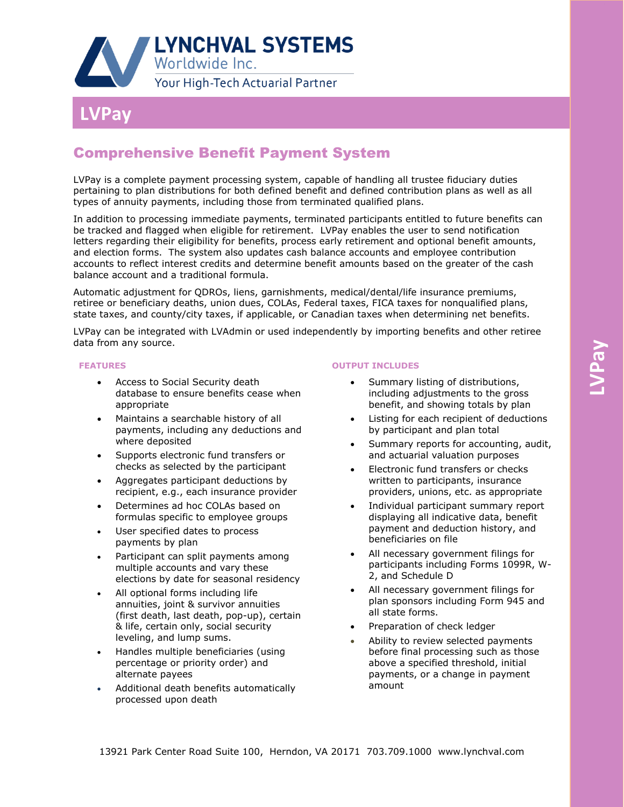

## **Our LVPay**

## Comprehensive Benefit Payment System

LVPay is a complete payment processing system, capable of handling all trustee fiduciary duties pertaining to plan distributions for both defined benefit and defined contribution plans as well as all types of annuity payments, including those from terminated qualified plans.

In addition to processing immediate payments, terminated participants entitled to future benefits can be tracked and flagged when eligible for retirement. LVPay enables the user to send notification letters regarding their eligibility for benefits, process early retirement and optional benefit amounts, and election forms. The system also updates cash balance accounts and employee contribution accounts to reflect interest credits and determine benefit amounts based on the greater of the cash balance account and a traditional formula.

Automatic adjustment for QDROs, liens, garnishments, medical/dental/life insurance premiums, retiree or beneficiary deaths, union dues, COLAs, Federal taxes, FICA taxes for nonqualified plans, state taxes, and county/city taxes, if applicable, or Canadian taxes when determining net benefits.

LVPay can be integrated with LVAdmin or used independently by importing benefits and other retiree data from any source.

## **FEATURES**

- Access to Social Security death database to ensure benefits cease when appropriate
- Maintains a searchable history of all payments, including any deductions and where deposited
- Supports electronic fund transfers or checks as selected by the participant
- Aggregates participant deductions by recipient, e.g., each insurance provider
- Determines ad hoc COLAs based on formulas specific to employee groups
- User specified dates to process payments by plan
- Participant can split payments among multiple accounts and vary these elections by date for seasonal residency
- All optional forms including life annuities, joint & survivor annuities (first death, last death, pop-up), certain & life, certain only, social security leveling, and lump sums.
- Handles multiple beneficiaries (using percentage or priority order) and alternate payees
- Additional death benefits automatically processed upon death

## **OUTPUT INCLUDES**

- Summary listing of distributions, including adjustments to the gross benefit, and showing totals by plan
- Listing for each recipient of deductions by participant and plan total
- Summary reports for accounting, audit, and actuarial valuation purposes
- Electronic fund transfers or checks written to participants, insurance providers, unions, etc. as appropriate
- Individual participant summary report displaying all indicative data, benefit payment and deduction history, and beneficiaries on file
- All necessary government filings for participants including Forms 1099R, W-2, and Schedule D
- All necessary government filings for plan sponsors including Form 945 and all state forms.
- Preparation of check ledger
- Ability to review selected payments before final processing such as those above a specified threshold, initial payments, or a change in payment amount